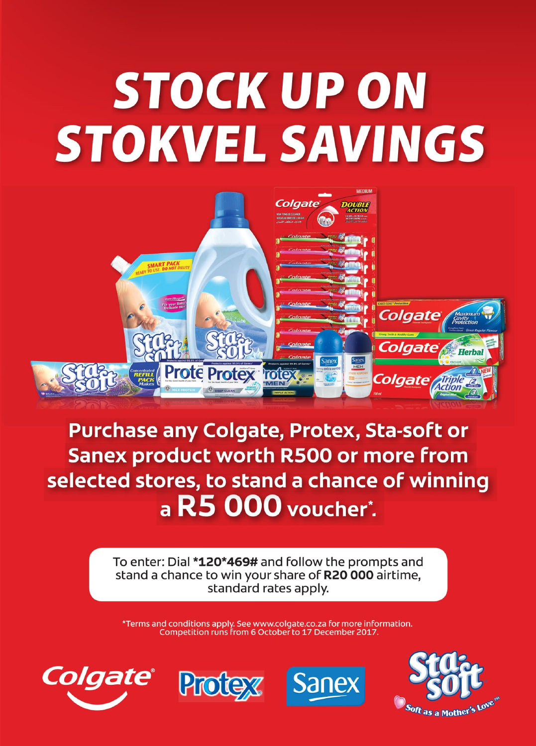# **STOCK UP ON STOKVEL SAVINGS**



**Purchase any Colgate, Protex, Sta-soft or Sanex product worth R500 or more from** selected stores, to stand a chance of winning a R5 000 voucher\*.

> To enter: Dial \*120\*469# and follow the prompts and stand a chance to win your share of R20000 airtime, standard rates apply.

\*Terms and conditions apply. See www.colgate.co.za for more information. Competition runs from 6 October to 17 December 2017.







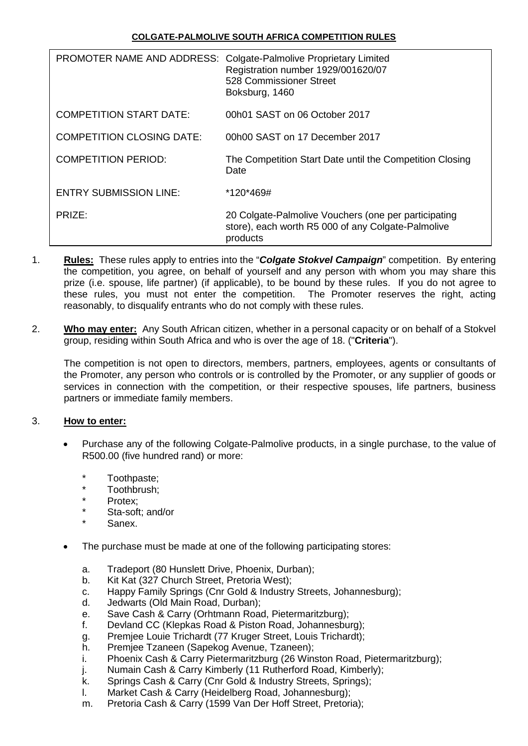|                                  | PROMOTER NAME AND ADDRESS: Colgate-Palmolive Proprietary Limited<br>Registration number 1929/001620/07<br>528 Commissioner Street<br>Boksburg, 1460 |
|----------------------------------|-----------------------------------------------------------------------------------------------------------------------------------------------------|
| <b>COMPETITION START DATE:</b>   | 00h01 SAST on 06 October 2017                                                                                                                       |
| <b>COMPETITION CLOSING DATE:</b> | 00h00 SAST on 17 December 2017                                                                                                                      |
| <b>COMPETITION PERIOD:</b>       | The Competition Start Date until the Competition Closing<br>Date                                                                                    |
| ENTRY SUBMISSION LINE:           | *120*469#                                                                                                                                           |
| PRIZE:                           | 20 Colgate-Palmolive Vouchers (one per participating<br>store), each worth R5 000 of any Colgate-Palmolive<br>products                              |

- 1. **Rules:** These rules apply to entries into the "*Colgate Stokvel Campaign*" competition. By entering the competition, you agree, on behalf of yourself and any person with whom you may share this prize (i.e. spouse, life partner) (if applicable), to be bound by these rules. If you do not agree to these rules, you must not enter the competition. The Promoter reserves the right, acting reasonably, to disqualify entrants who do not comply with these rules.
- 2. **Who may enter:** Any South African citizen, whether in a personal capacity or on behalf of a Stokvel group, residing within South Africa and who is over the age of 18. ("**Criteria**").

The competition is not open to directors, members, partners, employees, agents or consultants of the Promoter, any person who controls or is controlled by the Promoter, or any supplier of goods or services in connection with the competition, or their respective spouses, life partners, business partners or immediate family members.

## 3. **How to enter:**

- Purchase any of the following Colgate-Palmolive products, in a single purchase, to the value of R500.00 (five hundred rand) or more:
	- Toothpaste;
	- \* Toothbrush;
	- Protex:
	- Sta-soft: and/or
	- Sanex.
- The purchase must be made at one of the following participating stores:
	- a. Tradeport (80 Hunslett Drive, Phoenix, Durban);
	- b. Kit Kat (327 Church Street, Pretoria West);
	- c. Happy Family Springs (Cnr Gold & Industry Streets, Johannesburg);
	- d. Jedwarts (Old Main Road, Durban);
	- e. Save Cash & Carry (Orhtmann Road, Pietermaritzburg);
	- f. Devland CC (Klepkas Road & Piston Road, Johannesburg);
	- g. Premjee Louie Trichardt (77 Kruger Street, Louis Trichardt);
	- h. Premjee Tzaneen (Sapekog Avenue, Tzaneen);
	- i. Phoenix Cash & Carry Pietermaritzburg (26 Winston Road, Pietermaritzburg);
	- j. Numain Cash & Carry Kimberly (11 Rutherford Road, Kimberly);
	- k. Springs Cash & Carry (Cnr Gold & Industry Streets, Springs);<br>I. Market Cash & Carry (Heidelberg Road, Johannesburg):
	- Market Cash & Carry (Heidelberg Road, Johannesburg);
	- m. Pretoria Cash & Carry (1599 Van Der Hoff Street, Pretoria);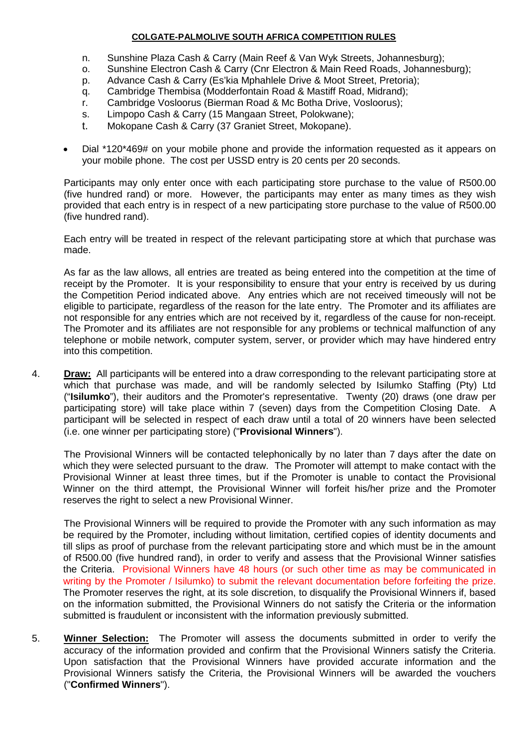- n. Sunshine Plaza Cash & Carry (Main Reef & Van Wyk Streets, Johannesburg);
- o. Sunshine Electron Cash & Carry (Cnr Electron & Main Reed Roads, Johannesburg);
- p. Advance Cash & Carry (Es'kia Mphahlele Drive & Moot Street, Pretoria);
- q. Cambridge Thembisa (Modderfontain Road & Mastiff Road, Midrand);
- r. Cambridge Vosloorus (Bierman Road & Mc Botha Drive, Vosloorus);
- s. Limpopo Cash & Carry (15 Mangaan Street, Polokwane);
- t. Mokopane Cash & Carry (37 Graniet Street, Mokopane).
- Dial \*120\*469# on your mobile phone and provide the information requested as it appears on your mobile phone. The cost per USSD entry is 20 cents per 20 seconds.

Participants may only enter once with each participating store purchase to the value of R500.00 (five hundred rand) or more. However, the participants may enter as many times as they wish provided that each entry is in respect of a new participating store purchase to the value of R500.00 (five hundred rand).

Each entry will be treated in respect of the relevant participating store at which that purchase was made.

As far as the law allows, all entries are treated as being entered into the competition at the time of receipt by the Promoter. It is your responsibility to ensure that your entry is received by us during the Competition Period indicated above. Any entries which are not received timeously will not be eligible to participate, regardless of the reason for the late entry. The Promoter and its affiliates are not responsible for any entries which are not received by it, regardless of the cause for non-receipt. The Promoter and its affiliates are not responsible for any problems or technical malfunction of any telephone or mobile network, computer system, server, or provider which may have hindered entry into this competition.

4. **Draw:** All participants will be entered into a draw corresponding to the relevant participating store at which that purchase was made, and will be randomly selected by Isilumko Staffing (Pty) Ltd ("**Isilumko**"), their auditors and the Promoter's representative. Twenty (20) draws (one draw per participating store) will take place within 7 (seven) days from the Competition Closing Date. A participant will be selected in respect of each draw until a total of 20 winners have been selected (i.e. one winner per participating store) ("**Provisional Winners**").

The Provisional Winners will be contacted telephonically by no later than 7 days after the date on which they were selected pursuant to the draw. The Promoter will attempt to make contact with the Provisional Winner at least three times, but if the Promoter is unable to contact the Provisional Winner on the third attempt, the Provisional Winner will forfeit his/her prize and the Promoter reserves the right to select a new Provisional Winner.

The Provisional Winners will be required to provide the Promoter with any such information as may be required by the Promoter, including without limitation, certified copies of identity documents and till slips as proof of purchase from the relevant participating store and which must be in the amount of R500.00 (five hundred rand), in order to verify and assess that the Provisional Winner satisfies the Criteria. Provisional Winners have 48 hours (or such other time as may be communicated in writing by the Promoter / Isilumko) to submit the relevant documentation before forfeiting the prize. The Promoter reserves the right, at its sole discretion, to disqualify the Provisional Winners if, based on the information submitted, the Provisional Winners do not satisfy the Criteria or the information submitted is fraudulent or inconsistent with the information previously submitted.

5. **Winner Selection:** The Promoter will assess the documents submitted in order to verify the accuracy of the information provided and confirm that the Provisional Winners satisfy the Criteria. Upon satisfaction that the Provisional Winners have provided accurate information and the Provisional Winners satisfy the Criteria, the Provisional Winners will be awarded the vouchers ("**Confirmed Winners**").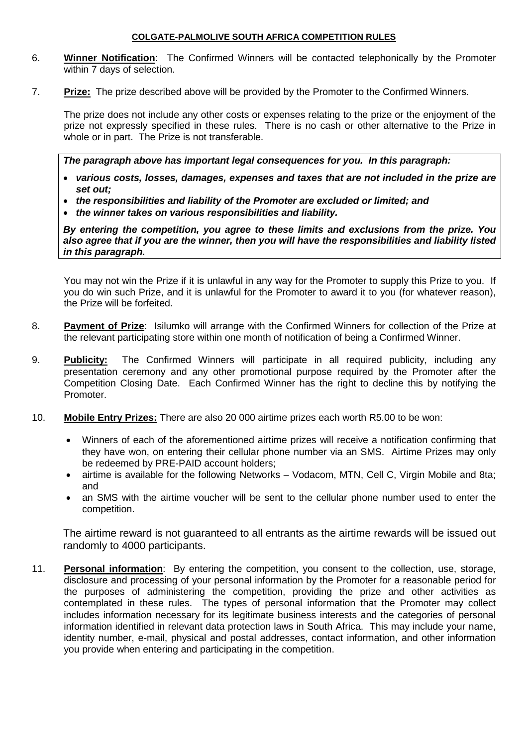- 6. **Winner Notification**: The Confirmed Winners will be contacted telephonically by the Promoter within 7 days of selection.
- 7. **Prize:** The prize described above will be provided by the Promoter to the Confirmed Winners.

The prize does not include any other costs or expenses relating to the prize or the enjoyment of the prize not expressly specified in these rules. There is no cash or other alternative to the Prize in whole or in part. The Prize is not transferable.

*The paragraph above has important legal consequences for you. In this paragraph:*

- *various costs, losses, damages, expenses and taxes that are not included in the prize are set out;*
- *the responsibilities and liability of the Promoter are excluded or limited; and*
- *the winner takes on various responsibilities and liability.*

*By entering the competition, you agree to these limits and exclusions from the prize. You also agree that if you are the winner, then you will have the responsibilities and liability listed in this paragraph.*

You may not win the Prize if it is unlawful in any way for the Promoter to supply this Prize to you. If you do win such Prize, and it is unlawful for the Promoter to award it to you (for whatever reason), the Prize will be forfeited.

- 8. **Payment of Prize**: Isilumko will arrange with the Confirmed Winners for collection of the Prize at the relevant participating store within one month of notification of being a Confirmed Winner.
- 9. **Publicity:** The Confirmed Winners will participate in all required publicity, including any presentation ceremony and any other promotional purpose required by the Promoter after the Competition Closing Date. Each Confirmed Winner has the right to decline this by notifying the Promoter.
- 10. **Mobile Entry Prizes:** There are also 20 000 airtime prizes each worth R5.00 to be won:
	- Winners of each of the aforementioned airtime prizes will receive a notification confirming that they have won, on entering their cellular phone number via an SMS. Airtime Prizes may only be redeemed by PRE-PAID account holders;
	- airtime is available for the following Networks Vodacom, MTN, Cell C, Virgin Mobile and 8ta; and
	- an SMS with the airtime voucher will be sent to the cellular phone number used to enter the competition.

The airtime reward is not guaranteed to all entrants as the airtime rewards will be issued out randomly to 4000 participants.

11. **Personal information**: By entering the competition, you consent to the collection, use, storage, disclosure and processing of your personal information by the Promoter for a reasonable period for the purposes of administering the competition, providing the prize and other activities as contemplated in these rules. The types of personal information that the Promoter may collect includes information necessary for its legitimate business interests and the categories of personal information identified in relevant data protection laws in South Africa. This may include your name, identity number, e-mail, physical and postal addresses, contact information, and other information you provide when entering and participating in the competition.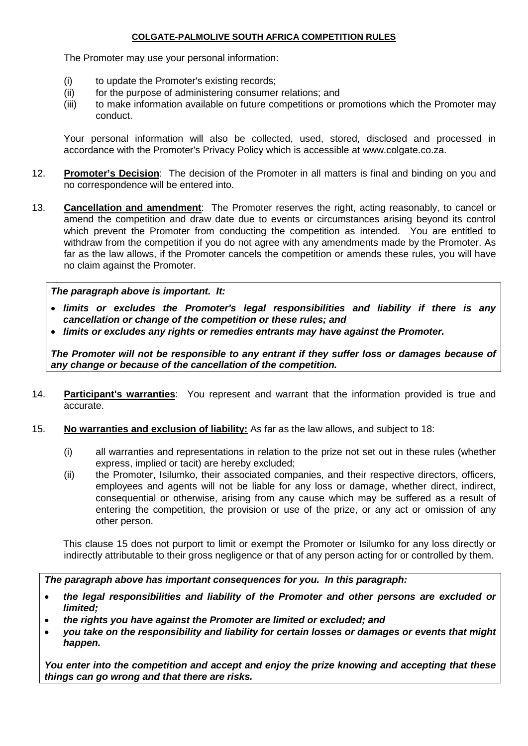The Promoter may use your personal information:

- (i) to update the Promoter's existing records;
- (ii) for the purpose of administering consumer relations; and
- (iii) to make information available on future competitions or promotions which the Promoter may conduct.

Your personal information will also be collected, used, stored, disclosed and processed in accordance with the Promoter's Privacy Policy which is accessible at www.colgate.co.za.

- 12. **Promoter's Decision**: The decision of the Promoter in all matters is final and binding on you and no correspondence will be entered into.
- 13. **Cancellation and amendment**: The Promoter reserves the right, acting reasonably, to cancel or amend the competition and draw date due to events or circumstances arising beyond its control which prevent the Promoter from conducting the competition as intended. You are entitled to withdraw from the competition if you do not agree with any amendments made by the Promoter. As far as the law allows, if the Promoter cancels the competition or amends these rules, you will have no claim against the Promoter.

## *The paragraph above is important. It:*

- *limits or excludes the Promoter's legal responsibilities and liability if there is any cancellation or change of the competition or these rules; and*
- *limits or excludes any rights or remedies entrants may have against the Promoter.*

*The Promoter will not be responsible to any entrant if they suffer loss or damages because of any change or because of the cancellation of the competition.*

- 14. **Participant's warranties**: You represent and warrant that the information provided is true and accurate.
- 15. **No warranties and exclusion of liability:** As far as the law allows, and subject to [18:](#page--1-0)
	- (i) all warranties and representations in relation to the prize not set out in these rules (whether express, implied or tacit) are hereby excluded;
	- (ii) the Promoter, Isilumko, their associated companies, and their respective directors, officers, employees and agents will not be liable for any loss or damage, whether direct, indirect, consequential or otherwise, arising from any cause which may be suffered as a result of entering the competition, the provision or use of the prize, or any act or omission of any other person.

This clause [15](#page--1-1) does not purport to limit or exempt the Promoter or Isilumko for any loss directly or indirectly attributable to their gross negligence or that of any person acting for or controlled by them.

*The paragraph above has important consequences for you. In this paragraph:*

- *the legal responsibilities and liability of the Promoter and other persons are excluded or limited;*
- *the rights you have against the Promoter are limited or excluded; and*
- *you take on the responsibility and liability for certain losses or damages or events that might happen.*

*You enter into the competition and accept and enjoy the prize knowing and accepting that these things can go wrong and that there are risks.*